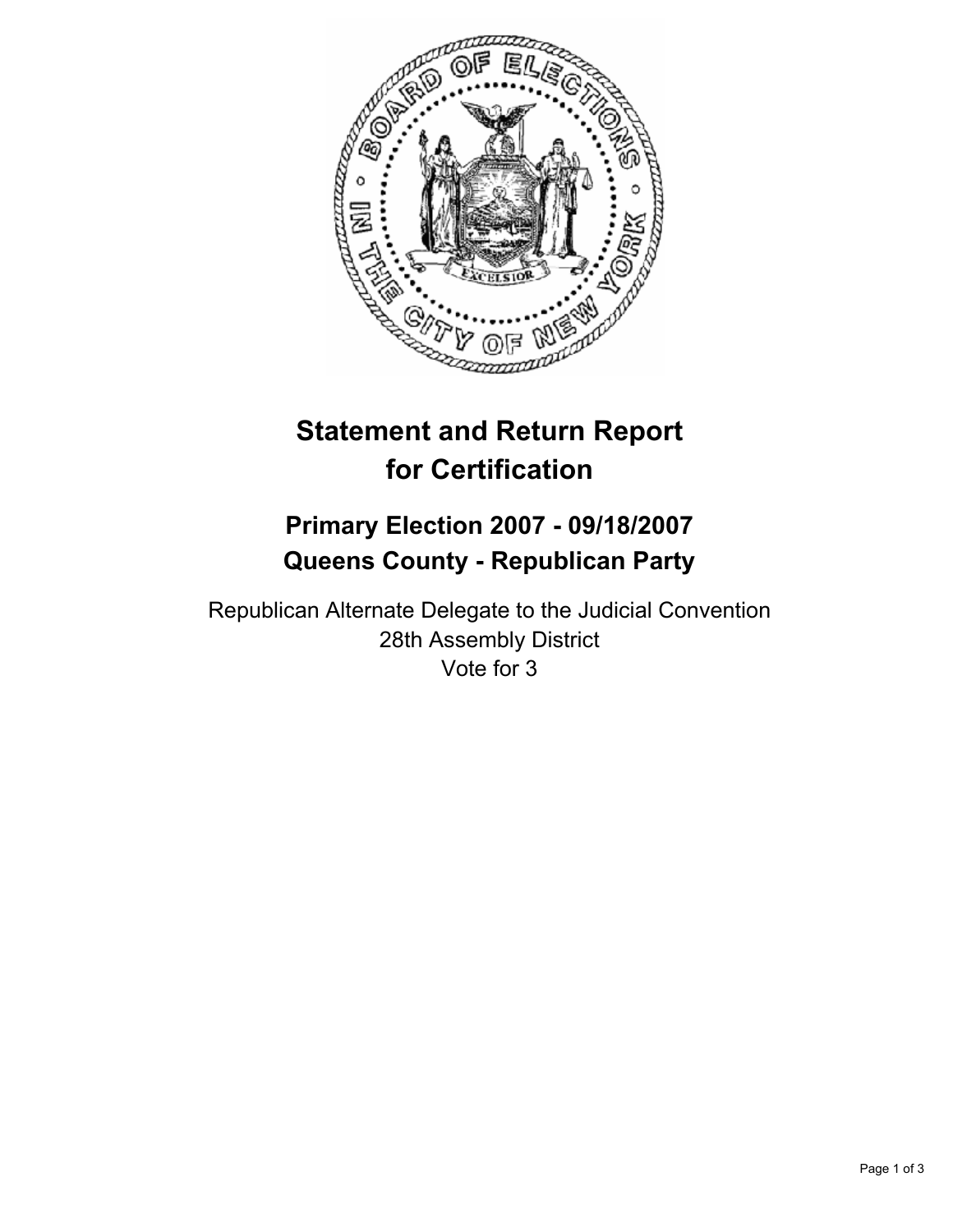

# **Statement and Return Report for Certification**

# **Primary Election 2007 - 09/18/2007 Queens County - Republican Party**

Republican Alternate Delegate to the Judicial Convention 28th Assembly District Vote for 3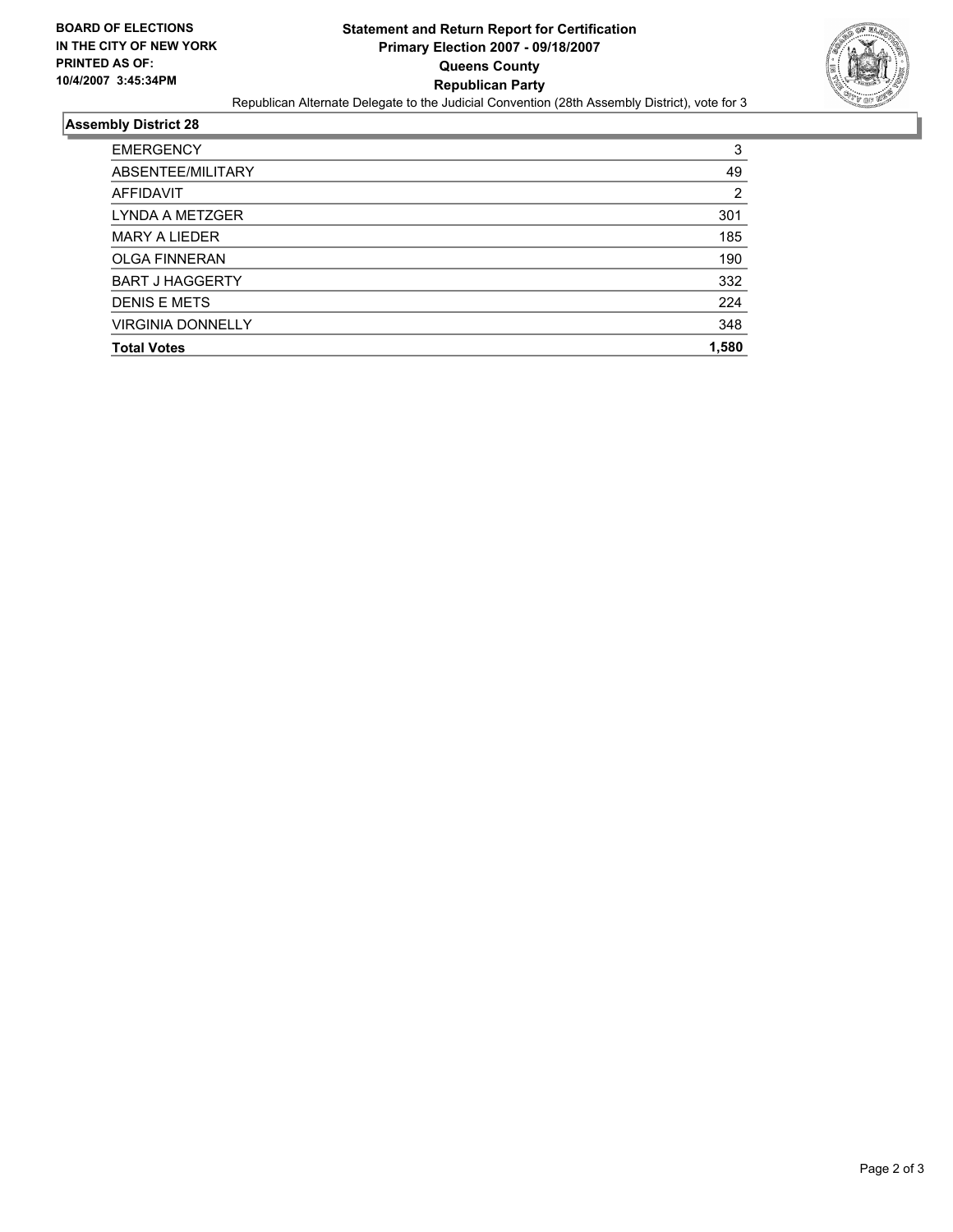

## **Assembly District 28**

| <b>EMERGENCY</b>         | 3     |
|--------------------------|-------|
| ABSENTEE/MILITARY        | 49    |
| AFFIDAVIT                | 2     |
| LYNDA A METZGER          | 301   |
| <b>MARY A LIEDER</b>     | 185   |
| <b>OLGA FINNERAN</b>     | 190   |
| <b>BART J HAGGERTY</b>   | 332   |
| <b>DENIS E METS</b>      | 224   |
| <b>VIRGINIA DONNELLY</b> | 348   |
| <b>Total Votes</b>       | 1,580 |